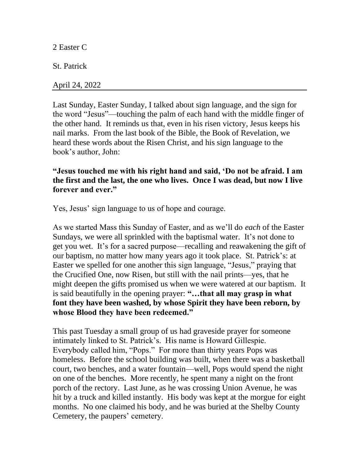2 Easter C

St. Patrick

April 24, 2022

Last Sunday, Easter Sunday, I talked about sign language, and the sign for the word "Jesus"—touching the palm of each hand with the middle finger of the other hand. It reminds us that, even in his risen victory, Jesus keeps his nail marks. From the last book of the Bible, the Book of Revelation, we heard these words about the Risen Christ, and his sign language to the book's author, John:

**"Jesus touched me with his right hand and said, 'Do not be afraid. I am the first and the last, the one who lives. Once I was dead, but now I live forever and ever."**

Yes, Jesus' sign language to us of hope and courage.

As we started Mass this Sunday of Easter, and as we'll do *each* of the Easter Sundays, we were all sprinkled with the baptismal water. It's not done to get you wet. It's for a sacred purpose—recalling and reawakening the gift of our baptism, no matter how many years ago it took place. St. Patrick's: at Easter we spelled for one another this sign language, "Jesus," praying that the Crucified One, now Risen, but still with the nail prints—yes, that he might deepen the gifts promised us when we were watered at our baptism. It is said beautifully in the opening prayer: **"…that all may grasp in what font they have been washed, by whose Spirit they have been reborn, by whose Blood they have been redeemed."**

This past Tuesday a small group of us had graveside prayer for someone intimately linked to St. Patrick's. His name is Howard Gillespie. Everybody called him, "Pops." For more than thirty years Pops was homeless. Before the school building was built, when there was a basketball court, two benches, and a water fountain—well, Pops would spend the night on one of the benches. More recently, he spent many a night on the front porch of the rectory. Last June, as he was crossing Union Avenue, he was hit by a truck and killed instantly. His body was kept at the morgue for eight months. No one claimed his body, and he was buried at the Shelby County Cemetery, the paupers' cemetery.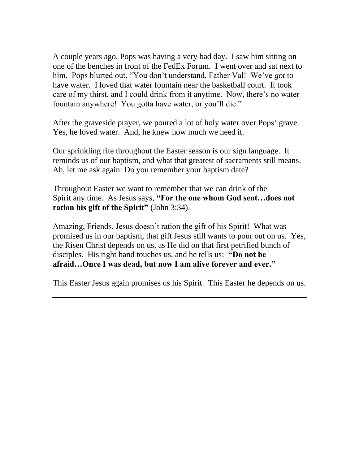A couple years ago, Pops was having a very bad day. I saw him sitting on one of the benches in front of the FedEx Forum. I went over and sat next to him. Pops blurted out, "You don't understand, Father Val! We've *got* to have water. I loved that water fountain near the basketball court. It took care of my thirst, and I could drink from it anytime. Now, there's no water fountain anywhere! You gotta have water, or you'll die."

After the graveside prayer, we poured a lot of holy water over Pops' grave. Yes, he loved water. And, he knew how much we need it.

Our sprinkling rite throughout the Easter season is our sign language. It reminds us of our baptism, and what that greatest of sacraments still means. Ah, let me ask again: Do you remember your baptism date?

Throughout Easter we want to remember that we can drink of the Spirit any time. As Jesus says, **"For the one whom God sent…does not ration his gift of the Spirit"** (John 3:34).

Amazing, Friends, Jesus doesn't ration the gift of his Spirit! What was promised us in our baptism, that gift Jesus still wants to pour out on us. Yes, the Risen Christ depends on us, as He did on that first petrified bunch of disciples. His right hand touches us, and he tells us: **"Do not be afraid…Once I was dead, but now I am alive forever and ever."**

This Easter Jesus again promises us his Spirit. This Easter he depends on us.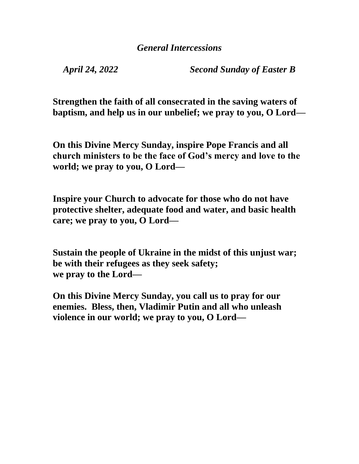*April 24, 2022 Second Sunday of Easter B*

**Strengthen the faith of all consecrated in the saving waters of baptism, and help us in our unbelief; we pray to you, O Lord—**

**On this Divine Mercy Sunday, inspire Pope Francis and all church ministers to be the face of God's mercy and love to the world; we pray to you, O Lord—**

**Inspire your Church to advocate for those who do not have protective shelter, adequate food and water, and basic health care; we pray to you, O Lord—**

**Sustain the people of Ukraine in the midst of this unjust war; be with their refugees as they seek safety; we pray to the Lord—**

**On this Divine Mercy Sunday, you call us to pray for our enemies. Bless, then, Vladimir Putin and all who unleash violence in our world; we pray to you, O Lord—**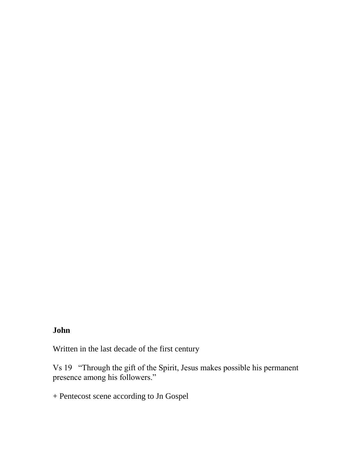## **John**

Written in the last decade of the first century

Vs 19 "Through the gift of the Spirit, Jesus makes possible his permanent presence among his followers."

+ Pentecost scene according to Jn Gospel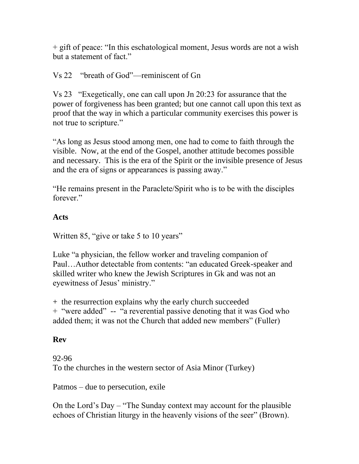+ gift of peace: "In this eschatological moment, Jesus words are not a wish but a statement of fact."

## Vs 22 "breath of God"—reminiscent of Gn

Vs 23 "Exegetically, one can call upon Jn 20:23 for assurance that the power of forgiveness has been granted; but one cannot call upon this text as proof that the way in which a particular community exercises this power is not true to scripture."

"As long as Jesus stood among men, one had to come to faith through the visible. Now, at the end of the Gospel, another attitude becomes possible and necessary. This is the era of the Spirit or the invisible presence of Jesus and the era of signs or appearances is passing away."

"He remains present in the Paraclete/Spirit who is to be with the disciples forever."

## **Acts**

Written 85, "give or take 5 to 10 years"

Luke "a physician, the fellow worker and traveling companion of Paul…Author detectable from contents: "an educated Greek-speaker and skilled writer who knew the Jewish Scriptures in Gk and was not an eyewitness of Jesus' ministry."

+ the resurrection explains why the early church succeeded + "were added" -- "a reverential passive denoting that it was God who added them; it was not the Church that added new members" (Fuller)

## **Rev**

92-96 To the churches in the western sector of Asia Minor (Turkey)

Patmos – due to persecution, exile

On the Lord's Day – "The Sunday context may account for the plausible echoes of Christian liturgy in the heavenly visions of the seer" (Brown).